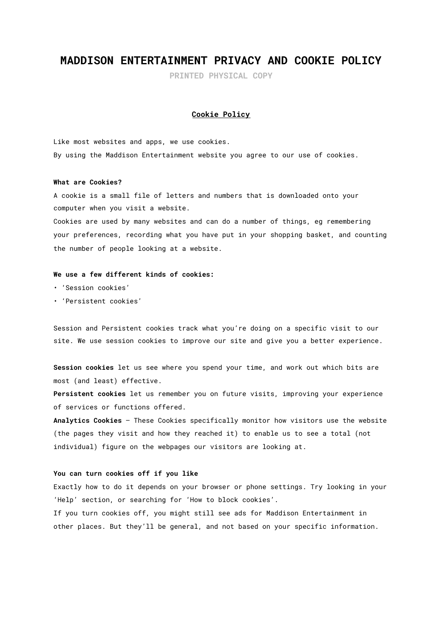# **MADDISON ENTERTAINMENT PRIVACY AND COOKIE POLICY**

**PRINTED PHYSICAL COPY**

## **Cookie Policy**

Like most websites and apps, we use cookies. By using the Maddison Entertainment website you agree to our use of cookies.

#### **What are Cookies?**

A cookie is a small file of letters and numbers that is downloaded onto your computer when you visit a website.

Cookies are used by many websites and can do a number of things, eg remembering your preferences, recording what you have put in your shopping basket, and counting the number of people looking at a website.

## **We use a few different kinds of cookies:**

- 'Session cookies'
- 'Persistent cookies'

Session and Persistent cookies track what you're doing on a specific visit to our site. We use session cookies to improve our site and give you a better experience.

**Session cookies** let us see where you spend your time, and work out which bits are most (and least) effective.

**Persistent cookies** let us remember you on future visits, improving your experience of services or functions offered.

**Analytics Cookies** – These Cookies specifically monitor how visitors use the website (the pages they visit and how they reached it) to enable us to see a total (not individual) figure on the webpages our visitors are looking at.

### **You can turn cookies off if you like**

Exactly how to do it depends on your browser or phone settings. Try looking in your 'Help' section, or searching for 'How to block cookies'. If you turn cookies off, you might still see ads for Maddison Entertainment in other places. But they'll be general, and not based on your specific information.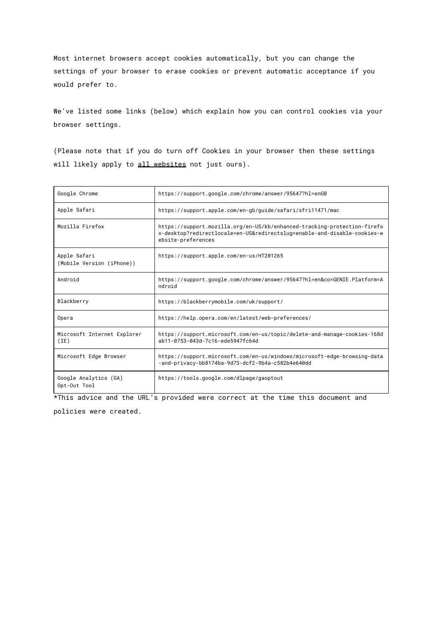Most internet browsers accept cookies automatically, but you can change the settings of your browser to erase cookies or prevent automatic acceptance if you would prefer to.

We've listed some links (below) which explain how you can control cookies via your browser settings.

(Please note that if you do turn off Cookies in your browser then these settings will likely apply to all websites not just ours).

| Google Chrome                             | https://support.google.com/chrome/answer/95647?hl=enGB                                                                                                                     |
|-------------------------------------------|----------------------------------------------------------------------------------------------------------------------------------------------------------------------------|
| Apple Safari                              | https://support.apple.com/en-gb/guide/safari/sfri11471/mac                                                                                                                 |
| Mozilla Firefox                           | https://support.mozilla.org/en-US/kb/enhanced-tracking-protection-firefo<br>x-desktop?redirectlocale=en-US&redirectslug=enable-and-disable-cookies-w<br>ebsite-preferences |
| Apple Safari<br>(Mobile Version (iPhone)) | https://support.apple.com/en-us/HT201265                                                                                                                                   |
| Android                                   | https://support.google.com/chrome/answer/95647?hl=en&co=GENIE.Platform=A<br>ndroid                                                                                         |
| Blackberry                                | https://blackberrymobile.com/uk/support/                                                                                                                                   |
| Opera                                     | https://help.opera.com/en/latest/web-preferences/                                                                                                                          |
| Microsoft Internet Explorer<br>(IE)       | https://support.microsoft.com/en-us/topic/delete-and-manage-cookies-168d<br>ab11-0753-043d-7c16-ede5947fc64d                                                               |
| Microsoft Edge Browser                    | https://support.microsoft.com/en-us/windows/microsoft-edge-browsing-data<br>-and-privacy-bb8174ba-9d73-dcf2-9b4a-c582b4e640dd                                              |
| Google Analytics (GA)<br>Opt-Out Tool     | https://tools.google.com/dlpage/gaoptout                                                                                                                                   |

\*This advice and the URL's provided were correct at the time this document and

policies were created.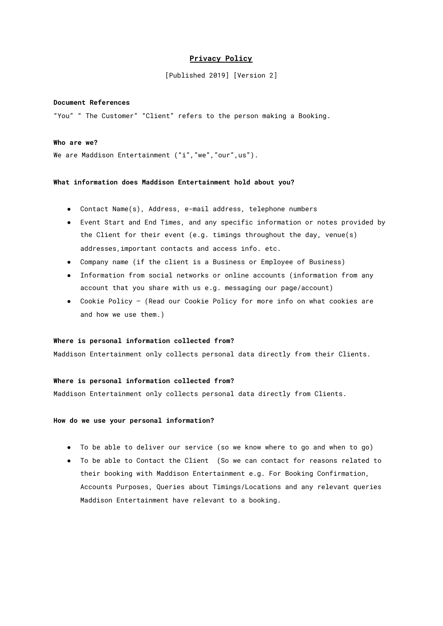# **Privacy Policy**

[Published 2019] [Version 2]

# **Document References**

"You" " The Customer" "Client" refers to the person making a Booking.

# **Who are we?**

We are Maddison Entertainment ("i", "we", "our", us").

#### **What information does Maddison Entertainment hold about you?**

- Contact Name(s), Address, e-mail address, telephone numbers
- Event Start and End Times, and any specific information or notes provided by the Client for their event (e.g. timings throughout the day, venue(s) addresses,important contacts and access info. etc.
- Company name (if the client is a Business or Employee of Business)
- Information from social networks or online accounts (information from any account that you share with us e.g. messaging our page/account)
- Cookie Policy (Read our Cookie Policy for more info on what cookies are and how we use them.)

## **Where is personal information collected from?**

Maddison Entertainment only collects personal data directly from their Clients.

#### **Where is personal information collected from?**

Maddison Entertainment only collects personal data directly from Clients.

#### **How do we use your personal information?**

- To be able to deliver our service (so we know where to go and when to go)
- To be able to Contact the Client (So we can contact for reasons related to their booking with Maddison Entertainment e.g. For Booking Confirmation, Accounts Purposes, Queries about Timings/Locations and any relevant queries Maddison Entertainment have relevant to a booking.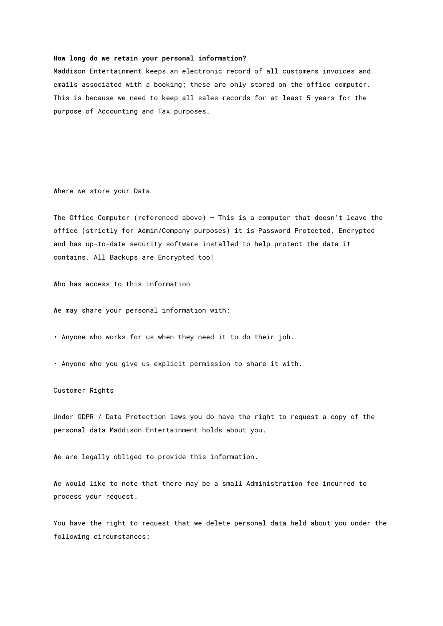#### **How long do we retain your personal information?**

Maddison Entertainment keeps an electronic record of all customers invoices and emails associated with a booking; these are only stored on the office computer. This is because we need to keep all sales records for at least 5 years for the purpose of Accounting and Tax purposes.

Where we store your Data

The Office Computer (referenced above) – This is a computer that doesn't leave the office (strictly for Admin/Company purposes) it is Password Protected, Encrypted and has up-to-date security software installed to help protect the data it contains. All Backups are Encrypted too!

Who has access to this information

We may share your personal information with:

• Anyone who works for us when they need it to do their job.

• Anyone who you give us explicit permission to share it with.

# Customer Rights

Under GDPR / Data Protection laws you do have the right to request a copy of the personal data Maddison Entertainment holds about you.

We are legally obliged to provide this information.

We would like to note that there may be a small Administration fee incurred to process your request.

You have the right to request that we delete personal data held about you under the following circumstances: